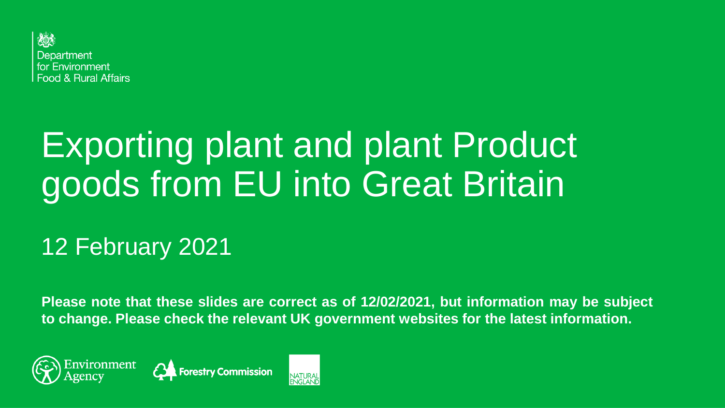

# Exporting plant and plant Product goods from EU into Great Britain

#### 12 February 2021

**Please note that these slides are correct as of 12/02/2021, but information may be subject to change. Please check the relevant UK government websites for the latest information.**





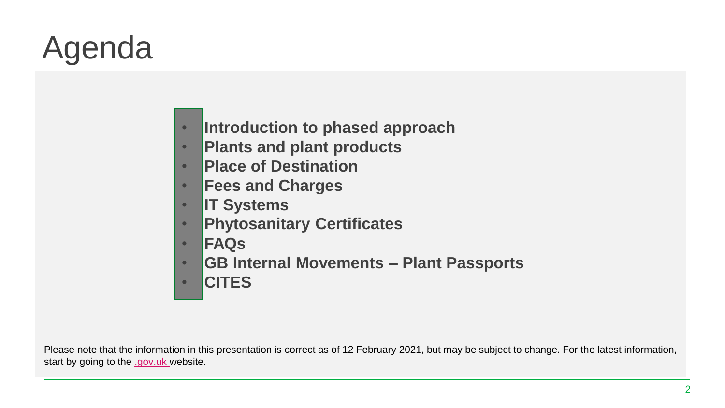# Agenda

- **Introduction to phased approach**
- **Plants and plant products**
- **Place of Destination**
- **Fees and Charges**
- **IT Systems**
- **Phytosanitary Certificates**
- **FAQs**
- **GB Internal Movements – Plant Passports**
- **CITES**

Please note that the information in this presentation is correct as of 12 February 2021, but may be subject to change. For the latest information, start by going to the [.gov.uk](https://www.gov.uk/government/publications/guides-to-importing-and-exporting-goods-between-great-britain-and-the-eu) website.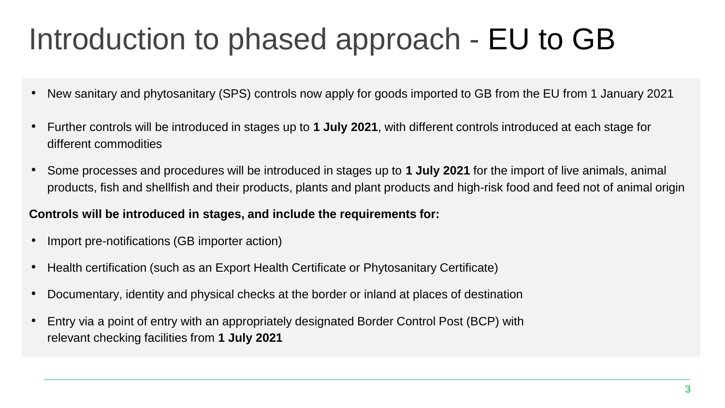### Introduction to phased approach - EU to GB

- New sanitary and phytosanitary (SPS) controls now apply for goods imported to GB from the EU from 1 January 2021
- Further controls will be introduced in stages up to **1 July 2021**, with different controls introduced at each stage for different commodities
- Some processes and procedures will be introduced in stages up to **1 July 2021** for the import of live animals, animal products, fish and shellfish and their products, plants and plant products and high-risk food and feed not of animal origin

#### **Controls will be introduced in stages, and include the requirements for:**

- Import pre-notifications (GB importer action)
- Health certification (such as an Export Health Certificate or Phytosanitary Certificate)
- Documentary, identity and physical checks at the border or inland at places of destination
- Entry via a point of entry with an appropriately designated Border Control Post (BCP) with relevant checking facilities from **1 July 2021**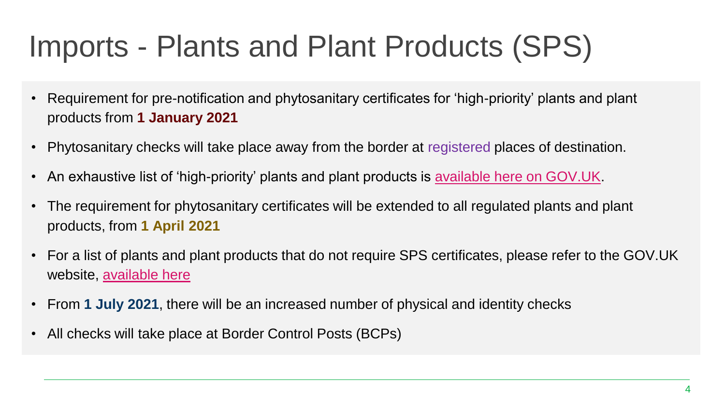- Requirement for pre-notification and phytosanitary certificates for 'high-priority' plants and plant products from **1 January 2021**
- Phytosanitary checks will take place away from the border at registered places of destination.
- An exhaustive list of 'high-priority' plants and plant products is [available here on GOV.UK.](https://assets.publishing.service.gov.uk/government/uploads/system/uploads/attachment_data/file/923654/high-priority-plants-list.odt)
- The requirement for phytosanitary certificates will be extended to all regulated plants and plant products, from **1 April 2021**
- For a list of plants and plant products that do not require SPS certificates, please refer to the GOV.UK website, [available here](https://www.gov.uk/guidance/importing-and-exporting-plants-and-plant-products-from-1-january-2021#plants-that-will-not-need-a-phytosanitary-certificate-for-eu-import-from-1-april-2021)
- From **1 July 2021**, there will be an increased number of physical and identity checks
- All checks will take place at Border Control Posts (BCPs)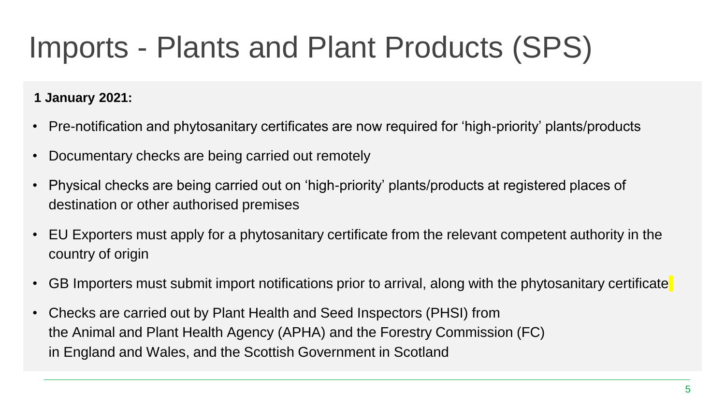#### **1 January 2021:**

- Pre-notification and phytosanitary certificates are now required for 'high-priority' plants/products
- Documentary checks are being carried out remotely
- Physical checks are being carried out on 'high-priority' plants/products at registered places of destination or other authorised premises
- EU Exporters must apply for a phytosanitary certificate from the relevant competent authority in the country of origin
- GB Importers must submit import notifications prior to arrival, along with the phytosanitary certificate
- Checks are carried out by Plant Health and Seed Inspectors (PHSI) from the Animal and Plant Health Agency (APHA) and the Forestry Commission (FC) in England and Wales, and the Scottish Government in Scotland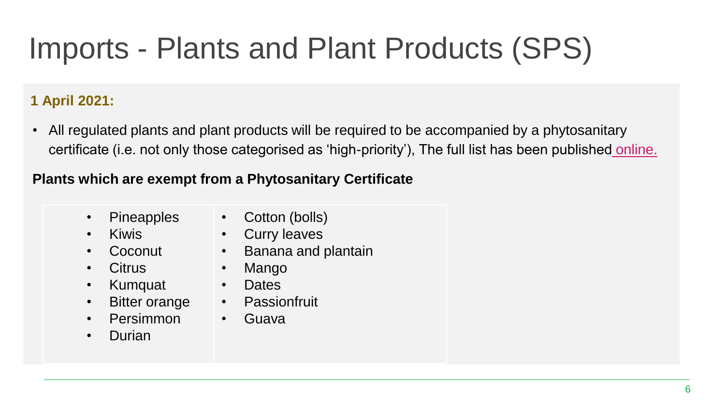#### **1 April 2021:**

• All regulated plants and plant products will be required to be accompanied by a phytosanitary certificate (i.e. not only those categorised as 'high-priority'), The full list has been published [online.](https://planthealthportal.defra.gov.uk/eu-exit-guidance/new-imports-guidance/) 

#### **Plants which are exempt from a Phytosanitary Certificate**

- **Pineapples**
- Kiwis
- Coconut
- Citrus
- Kumquat Dates
- Bitter orange | Passionfruit
- Persimmon
- Durian
- Cotton (bolls)
- Curry leaves
- Banana and plantain
- Mango
- 
- 
- Guava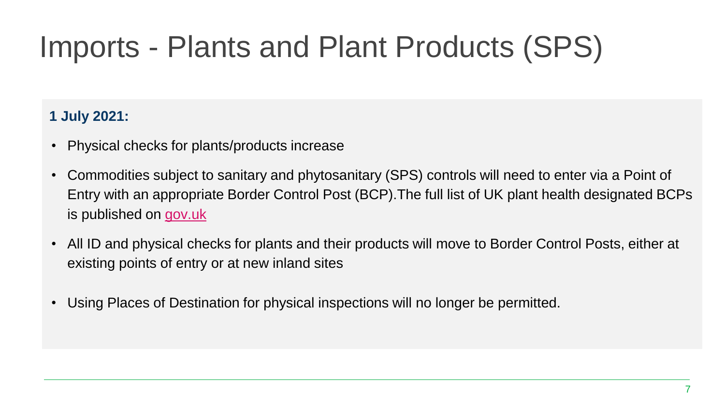#### **1 July 2021:**

- Physical checks for plants/products increase
- Commodities subject to sanitary and phytosanitary (SPS) controls will need to enter via a Point of Entry with an appropriate Border Control Post (BCP).The full list of UK plant health designated BCPs is published on [gov.uk](https://www.gov.uk/government/publications/plant-imports-authorised-points-of-entry-to-the-uk)
- All ID and physical checks for plants and their products will move to Border Control Posts, either at existing points of entry or at new inland sites
- Using Places of Destination for physical inspections will no longer be permitted.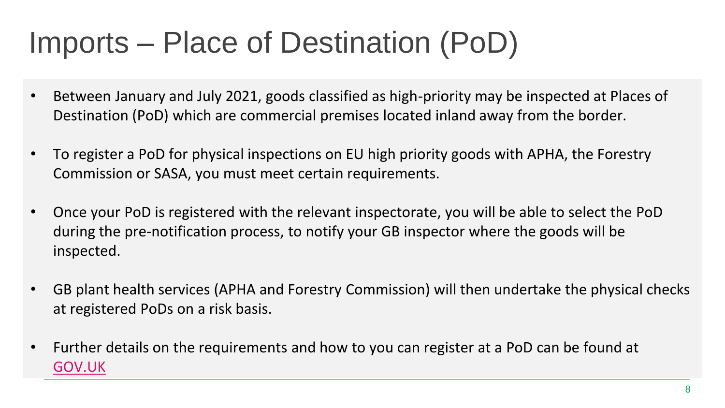## Imports – Place of Destination (PoD)

- Between January and July 2021, goods classified as high-priority may be inspected at Places of Destination (PoD) which are commercial premises located inland away from the border.
- To register a PoD for physical inspections on EU high priority goods with APHA, the Forestry Commission or SASA, you must meet certain requirements.
- Once your PoD is registered with the relevant inspectorate, you will be able to select the PoD during the pre-notification process, to notify your GB inspector where the goods will be inspected.
- GB plant health services (APHA and Forestry Commission) will then undertake the physical checks at registered PoDs on a risk basis.
- Further details on the requirements and how to you can register at a PoD can be found at [GOV.UK](https://www.gov.uk/guidance/place-of-destination-checks-on-high-priority-plants-and-products-from-the-eu-from-1-january-2021)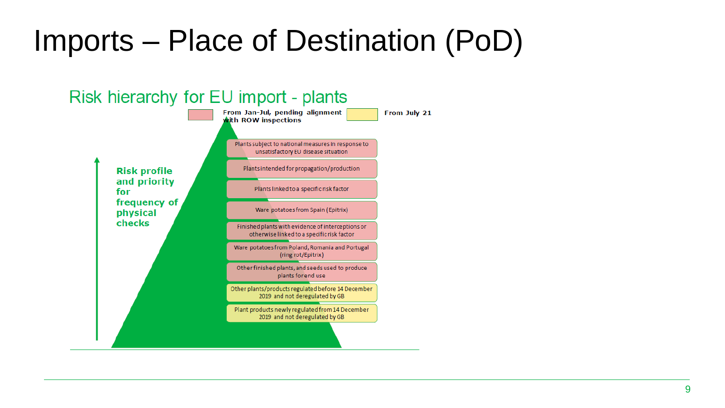## Imports – Place of Destination (PoD)

#### Risk hierarchy for EU import - plants From Jan-Jul, pending alignment From July 21 with ROW inspections Plants subject to national measures in response to unsatisfactory EU disease situation Plants intended for propagation/production **Risk profile** and priority Plants linked to a specific risk factor for frequency of Ware potatoes from Spain (Epitrix) physical checks Finished plants with evidence of interceptions or otherwise linked to a specific risk factor Ware potatoes from Poland, Romania and Portugal (ring rot/Epitrix) Other finished plants, and seeds used to produce plants for end use Other plants/products regulated before 14 December 2019 and not deregulated by GB Plant products newly regulated from 14 December 2019 and not deregulated by GB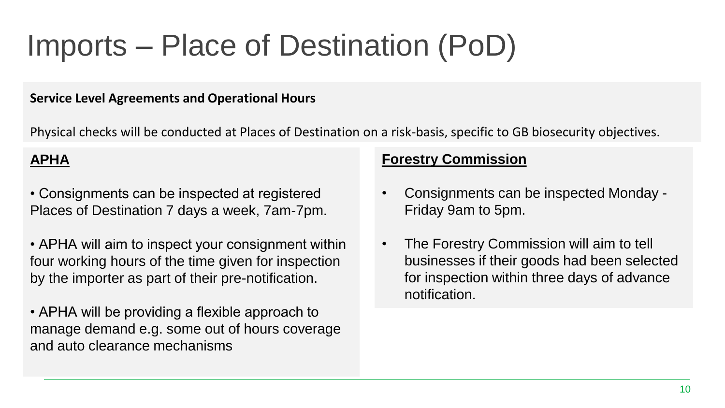## Imports – Place of Destination (PoD)

#### **Service Level Agreements and Operational Hours**

Physical checks will be conducted at Places of Destination on a risk-basis, specific to GB biosecurity objectives.

#### **APHA**

- Consignments can be inspected at registered Places of Destination 7 days a week, 7am-7pm.
- APHA will aim to inspect your consignment within four working hours of the time given for inspection by the importer as part of their pre-notification.
- APHA will be providing a flexible approach to manage demand e.g. some out of hours coverage and auto clearance mechanisms

#### **Forestry Commission**

- Consignments can be inspected Monday Friday 9am to 5pm.
- The Forestry Commission will aim to tell businesses if their goods had been selected for inspection within three days of advance notification.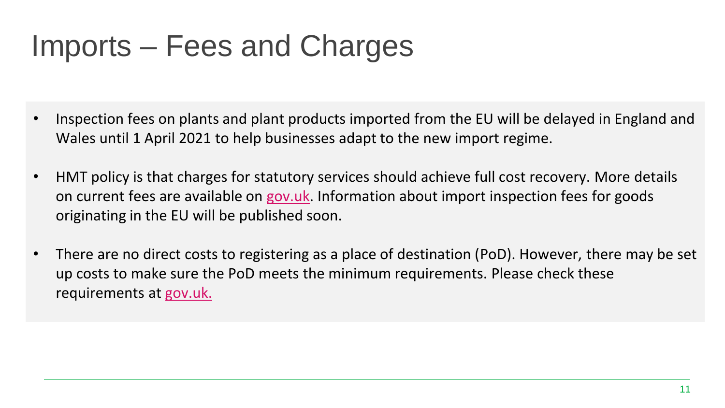### Imports – Fees and Charges

- Inspection fees on plants and plant products imported from the EU will be delayed in England and Wales until 1 April 2021 to help businesses adapt to the new import regime.
- HMT policy is that charges for statutory services should achieve full cost recovery. More details on current fees are available on [gov.uk.](https://www.gov.uk/guidance/importing-plants-fruit-vegetables-or-plant-material-to-the-uk#inspection-fees) Information about import inspection fees for goods originating in the EU will be published soon.
- There are no direct costs to registering as a place of destination (PoD). However, there may be set up costs to make sure the PoD meets the minimum requirements. Please check these requirements at [gov.uk.](https://www.gov.uk/guidance/place-of-destination-checks-on-high-priority-plants-and-products-from-the-eu-from-1-january-2021)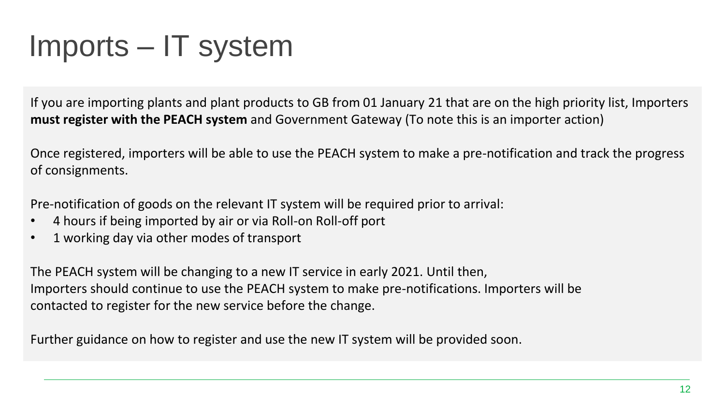#### Imports – IT system

If you are importing plants and plant products to GB from 01 January 21 that are on the high priority list, Importers **must register with the PEACH system** and Government Gateway (To note this is an importer action)

Once registered, importers will be able to use the PEACH system to make a pre-notification and track the progress of consignments.

Pre-notification of goods on the relevant IT system will be required prior to arrival:

- 4 hours if being imported by air or via Roll-on Roll-off port
- 1 working day via other modes of transport

The PEACH system will be changing to a new IT service in early 2021. Until then, Importers should continue to use the PEACH system to make pre-notifications. Importers will be contacted to register for the new service before the change.

Further guidance on how to register and use the new IT system will be provided soon.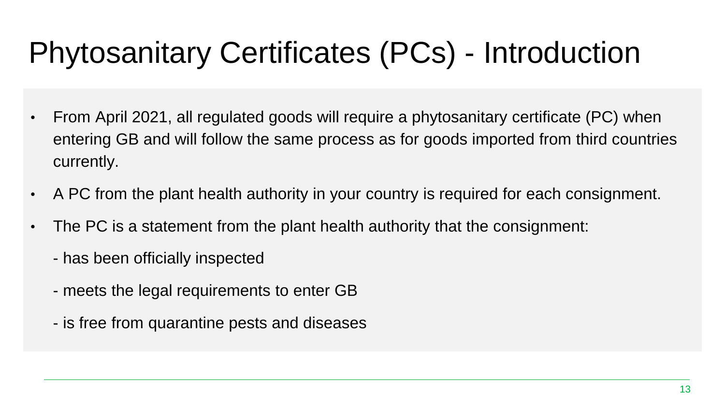## Phytosanitary Certificates (PCs) - Introduction

- From April 2021, all regulated goods will require a phytosanitary certificate (PC) when entering GB and will follow the same process as for goods imported from third countries currently.
- A PC from the plant health authority in your country is required for each consignment.
- The PC is a statement from the plant health authority that the consignment:
	- has been officially inspected
	- meets the legal requirements to enter GB
	- is free from quarantine pests and diseases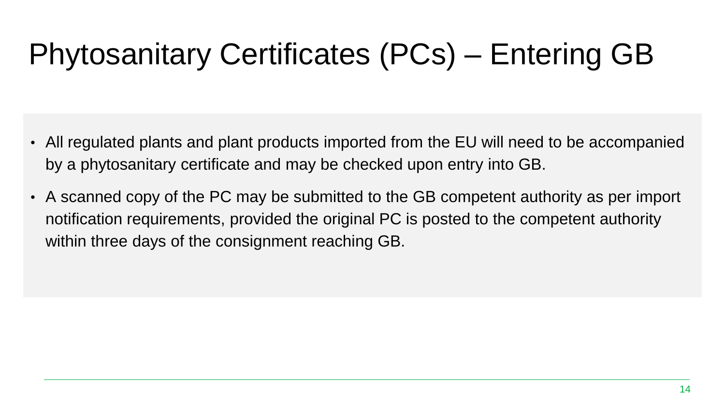# Phytosanitary Certificates (PCs) – Entering GB

- All regulated plants and plant products imported from the EU will need to be accompanied by a phytosanitary certificate and may be checked upon entry into GB.
- A scanned copy of the PC may be submitted to the GB competent authority as per import notification requirements, provided the original PC is posted to the competent authority within three days of the consignment reaching GB.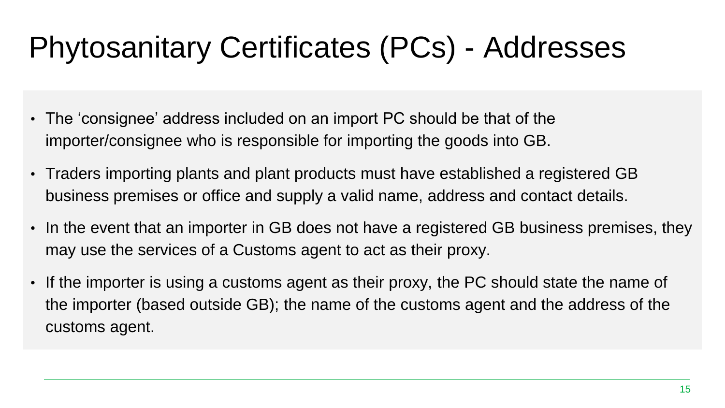## Phytosanitary Certificates (PCs) - Addresses

- The 'consignee' address included on an import PC should be that of the importer/consignee who is responsible for importing the goods into GB.
- Traders importing plants and plant products must have established a registered GB business premises or office and supply a valid name, address and contact details.
- In the event that an importer in GB does not have a registered GB business premises, they may use the services of a Customs agent to act as their proxy.
- If the importer is using a customs agent as their proxy, the PC should state the name of the importer (based outside GB); the name of the customs agent and the address of the customs agent.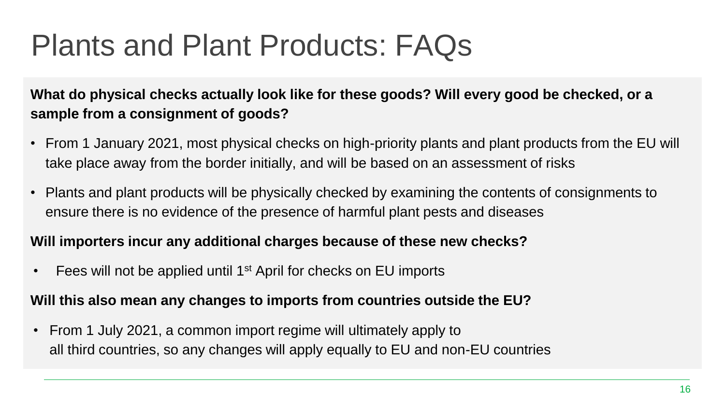### Plants and Plant Products: FAQs

**What do physical checks actually look like for these goods? Will every good be checked, or a sample from a consignment of goods?**

- From 1 January 2021, most physical checks on high-priority plants and plant products from the EU will take place away from the border initially, and will be based on an assessment of risks
- Plants and plant products will be physically checked by examining the contents of consignments to ensure there is no evidence of the presence of harmful plant pests and diseases

#### **Will importers incur any additional charges because of these new checks?**

 $\cdot$  Fees will not be applied until 1<sup>st</sup> April for checks on EU imports

#### **Will this also mean any changes to imports from countries outside the EU?**

• From 1 July 2021, a common import regime will ultimately apply to all third countries, so any changes will apply equally to EU and non-EU countries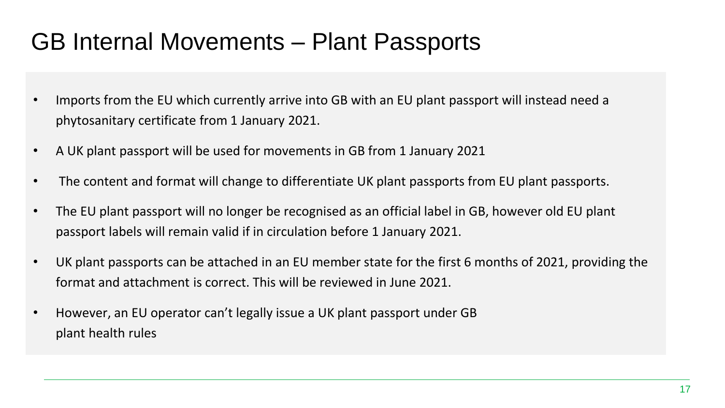#### GB Internal Movements – Plant Passports

- Imports from the EU which currently arrive into GB with an EU plant passport will instead need a phytosanitary certificate from 1 January 2021.
- A UK plant passport will be used for movements in GB from 1 January 2021
- The content and format will change to differentiate UK plant passports from EU plant passports.
- The EU plant passport will no longer be recognised as an official label in GB, however old EU plant passport labels will remain valid if in circulation before 1 January 2021.
- UK plant passports can be attached in an EU member state for the first 6 months of 2021, providing the format and attachment is correct. This will be reviewed in June 2021.
- However, an EU operator can't legally issue a UK plant passport under GB plant health rules